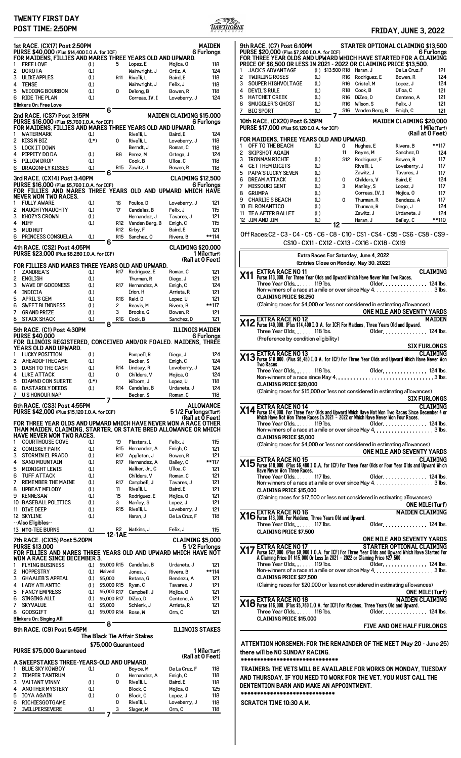## **TWENTY FIRST DAY POST TIME: 2:50PM FRIDAY, JUNE 3, 2022**



 $\overline{1}$ 

|        | 1st RACE. (CX17) Post 2:50PM<br>PURSE \$40,000 (Plus \$14,400 I.O.A. for ICF)                   |            |                                       |                        |                                |                                 | <b>MAIDEN</b><br>6 Furlongs                                                                                    |
|--------|-------------------------------------------------------------------------------------------------|------------|---------------------------------------|------------------------|--------------------------------|---------------------------------|----------------------------------------------------------------------------------------------------------------|
| 1      | FOR MAIDENS, FILLIES AND MARES THREE YEARS OLD AND UPWARD.<br><b>FREE LOVE</b>                  | (L)        | 5                                     |                        | Lopez, E                       | Mojica, O                       | 118                                                                                                            |
| 2      | <b>DOROTA</b>                                                                                   | (L)        |                                       |                        | Wainwright, J                  | Ortiz, A                        | 124                                                                                                            |
| 3      | <b>ULIKEAPPLES</b>                                                                              | (L)        |                                       | <b>R11</b>             | Rivelli, L                     | Baird, E                        | 118                                                                                                            |
| 4      | <b>TENSE</b>                                                                                    | (L)        |                                       |                        | Wainwright, J                  | Felix, J                        | 118                                                                                                            |
| 5      | <b>WEDDING BOURBON</b>                                                                          | (L)        | 0                                     |                        | Delong, B                      | Bowen, R                        | 118                                                                                                            |
| 6      | <b>RIDE THE PLAN</b><br>Blinkers On: Free Love                                                  | (L)        |                                       |                        | Correas, IV, I                 | Loveberry, J                    | 124                                                                                                            |
|        |                                                                                                 |            | 6                                     |                        |                                |                                 |                                                                                                                |
|        | 2nd RACE. (CS7) Post 3:15PM<br>PURSE \$16,000 (Plus \$5,760 I.O.A. for ICF)                     |            |                                       |                        |                                | <b>MAIDEN CLAIMING \$15,000</b> |                                                                                                                |
|        | FOR MAIDENS, FILLIES AND MARES THREE YEARS OLD AND UPWARD.                                      |            |                                       |                        |                                |                                 | 6 Furlonas                                                                                                     |
| 1      | <b>WATERMARK</b>                                                                                | (L)        |                                       |                        | Rivelli. L                     | Baird, E                        | 124                                                                                                            |
| 2      | <b>KISS N BIZ</b>                                                                               | $(L*)$     | 0                                     |                        | Rivelli, L                     | Loveberry, J                    | 118                                                                                                            |
| 3      | <b>LOCK IT DOWN</b>                                                                             |            |                                       |                        | Berndt, J                      | Roman, C                        | 118                                                                                                            |
| 4<br>5 | PIPPITY DO DA<br>PILLOW DROP                                                                    | (L)<br>(L) |                                       | R8                     | Perez, M<br>Cook, B            | Ortega, J<br>Ulloa, C           | 124<br>118                                                                                                     |
| 6      | <b>DRAGONFLY KISSES</b>                                                                         | (L)        |                                       | R <sub>15</sub>        | Zawitz, J                      | Bowen, R                        | 118                                                                                                            |
|        | 3rd RACE. (CX14) Post 3:40PM                                                                    |            | 6                                     |                        |                                | <b>CLAIMING \$12,500</b>        |                                                                                                                |
|        | PURSE \$16,000 (Plus \$5,760 I.O.A. for ICF)                                                    |            |                                       |                        |                                |                                 | 6 Furlonas                                                                                                     |
|        | FOR FILLIES AND MARES THREE YEARS OLD AND UPWARD WHICH HAVE                                     |            |                                       |                        |                                |                                 |                                                                                                                |
| 1      | <b>NEVER WON TWO RACES.</b><br><b>FULLY AWARE</b>                                               | (L)        |                                       | 16                     | Poulos, D                      | Loveberry, J                    | 121                                                                                                            |
| 2      | NAUGHTYNAUGHTY                                                                                  | (L)        | 17                                    |                        | Candelas, B                    | Felix. J                        | 115                                                                                                            |
| 3      | <b>KHOZYS CROWN</b>                                                                             | (L)        |                                       |                        | Hernandez, J                   | Tavares, J                      | 121                                                                                                            |
| 4      | <b>NIFF</b>                                                                                     | (L)        |                                       | R12                    | Vanden Berg, B                 | Emigh, C                        | 115                                                                                                            |
| 5<br>6 | <b>MUD HUT</b><br>PRINCESS CONSUELA                                                             | (L)        |                                       | R12<br>R <sub>15</sub> | Kirby, F<br>Sanchez, 0         | Baird, E<br>Rivera, B           | 121<br>**114                                                                                                   |
|        |                                                                                                 |            | 6                                     |                        |                                |                                 |                                                                                                                |
|        | 4th RACE. (CS2) Post 4:05PM<br>PURSE \$23,000 (Plus \$8,280 I.O.A. for ICF)                     |            |                                       |                        |                                | <b>CLAIMING \$20.000</b>        | 1 Mile(Turf)                                                                                                   |
|        |                                                                                                 |            |                                       |                        |                                |                                 | (Rail at 0 Feet)                                                                                               |
|        | FOR FILLIES AND MARES THREE YEARS OLD AND UPWARD.                                               |            |                                       |                        |                                |                                 |                                                                                                                |
| 1      | <b>ZANDREA'S</b><br><b>ENGLISH</b>                                                              | (L)        |                                       | <b>R17</b>             | Rodriguez, E<br>Thurman, R     | Roman, C                        | 121<br>121                                                                                                     |
| 2<br>3 | <b>WAVE OF GOODNESS</b>                                                                         | (L)<br>(L) |                                       | <b>R17</b>             | Hernandez, A                   | Diego, J<br>Emigh, C            | 124                                                                                                            |
| 4      | <b>INDICIA</b>                                                                                  | (L)        |                                       |                        | Irion, H                       | Arrieta, R                      | 121                                                                                                            |
| 5      | <b>APRIL'S GEM</b>                                                                              | (L)        |                                       | R <sub>16</sub>        | Reid, D                        | Lopez, U                        | 121                                                                                                            |
| 6      | <b>SWEET BLINDNESS</b>                                                                          | (L)        | 2                                     |                        | Reavis, M                      | Rivera, B                       | **117                                                                                                          |
| 7<br>8 | <b>GRAND PRIZE</b><br><b>STACK SHACK</b>                                                        | (L)<br>(L) | 3                                     | R16                    | Brooks, G<br>Cook, B           | Bowen, R<br>Sanchez, D          | 121<br>121                                                                                                     |
|        |                                                                                                 |            | 8                                     |                        |                                |                                 |                                                                                                                |
|        | 5th RACE. (C1) Post 4:30PM<br><b>PURSE \$40,000</b>                                             |            |                                       |                        |                                | ILLINOIS MAIDEN                 | 6 Furlonas                                                                                                     |
|        | FOR ILLINOIS REGISTERED, CONCEIVED AND/OR FOALED. MAIDENS, THREE                                |            |                                       |                        |                                |                                 |                                                                                                                |
|        | YEARS OLD AND UPWARD.                                                                           |            |                                       |                        |                                |                                 |                                                                                                                |
| 1<br>2 | <b>LUCKY POSITION</b><br><b>AHEADOFTHEGAME</b>                                                  | (L)<br>(L) |                                       |                        | Pompell, R<br>Becker, S        | Diego, J<br>Emigh, C            | 124<br>124                                                                                                     |
| 3      | DASH TO THE CASH                                                                                | (L)        |                                       | R <sub>14</sub>        | Lindsay, R                     | Loveberry, J                    | 124                                                                                                            |
| 4      | <b>LUKE ATTACK</b>                                                                              | (L)        | 0                                     |                        | Childers, V                    | Mojica, O                       | 124                                                                                                            |
|        | <b>DIAMND CON SUERTE</b>                                                                        | $(L^*)$    |                                       |                        | Wilborn, J                     | Lopez, U                        | 118                                                                                                            |
| 5      |                                                                                                 |            |                                       |                        |                                |                                 |                                                                                                                |
| 6      | <b>DASTARDLY DEEDS</b>                                                                          | (L)        |                                       | R14                    | Candelas, B                    | Urdaneta, J                     |                                                                                                                |
| 7      | <b>U SHONOUR NAP</b>                                                                            |            |                                       |                        | Becker, S                      | Roman, C                        | 118                                                                                                            |
|        | 6th RACE. (CS3) Post 4:55PM                                                                     |            |                                       |                        |                                |                                 |                                                                                                                |
|        | PURSE \$42,000 (Plus \$15,120 I.O.A. for ICF)                                                   |            |                                       |                        |                                | 51/2 Furlonas(Turf)             |                                                                                                                |
|        | FOR THREE YEAR OLDS AND UPWARD WHICH HAVE NEVER WON A RACE OTHER                                |            |                                       |                        |                                |                                 |                                                                                                                |
|        | THAN MAIDEN, CLAIMING, STARTER, OR STATE BRED ALLOWANCE OR WHICH                                |            |                                       |                        |                                |                                 |                                                                                                                |
| 1      | HAVE NEVER WON TWO RACES.<br><b>COURTHOUSE COVE</b>                                             | (L)        |                                       | 19                     | Plasters, L                    | Felix, J                        | 115                                                                                                            |
| 2      | <b>COMISKEY PARK</b>                                                                            | (L)        |                                       | R <sub>15</sub>        | Hernandez, A                   | Emigh, C                        | 121                                                                                                            |
| 3      | <b>STORMIN EL PRADO</b>                                                                         | (L)        |                                       | R17                    | Appleton, J                    | Bowen, R                        | 121                                                                                                            |
| 4<br>5 | <b>SAND MOUNTAIN</b><br><b>MIDNIGHT LEWIS</b>                                                   | (L)<br>(L) |                                       | R17                    | Hernandez, A<br>Walker, Jr., C | Bailey, C<br>Ulloa, C           | **117<br>121                                                                                                   |
| 6      | <b>TUFF ATTACK</b>                                                                              | (L)        |                                       |                        | Childers, V                    | Roman, C                        | 121                                                                                                            |
| 7      | <b>REMEMBER THE MAINE</b>                                                                       | (L)        |                                       | R17                    | Campbell, J                    | Tavares, J                      | 121                                                                                                            |
| 8      | <b>UPBEAT MELODY</b>                                                                            | (L)        | 11                                    |                        | Rivelli, L                     | Baird, E                        | 121                                                                                                            |
| 9      | <b>KENNESAW</b>                                                                                 | (L)        |                                       | 15                     | Rodriguez, E                   | Mojica, 0                       | 121                                                                                                            |
|        | 10 BASEBALL POLITICS<br>11 DIVE DEEP                                                            | (L)<br>(L) | 3                                     | R <sub>15</sub>        | Manley, S<br>Rivelli, L        | Lopez, J<br>Loveberry, J        | 121<br>121                                                                                                     |
|        | 12 SKYLINE                                                                                      | (L)        |                                       |                        | Haran, J                       | De La Cruz, F                   | 118                                                                                                            |
|        | --Also Eligibles--                                                                              |            |                                       |                        |                                |                                 |                                                                                                                |
|        | 13 MTO-TEE BURNS                                                                                | (L)        |                                       | R2                     | Watkins, J                     | Felix, J                        | 115                                                                                                            |
|        | 7th RACE. (CX15) Post 5:20PM                                                                    |            | 12-1AE                                |                        |                                | CLAIMING \$5,000                |                                                                                                                |
|        | <b>PURSE \$13,000</b>                                                                           |            |                                       |                        |                                |                                 |                                                                                                                |
|        | FOR FILLIES AND MARES THREE YEARS OLD AND UPWARD WHICH HAVE NOT<br>WON A RACE SINCE DECEMBER 3. |            |                                       |                        |                                |                                 |                                                                                                                |
| 1      | <b>FLYING BUSINESS</b>                                                                          | (L)        | \$5,000 R15                           |                        | Candelas, B                    | Urdaneta, J                     | 121                                                                                                            |
| 2      | <b>HOPPESTRY</b>                                                                                | (L)        | Waived                                |                        | Jones, J                       | Rivera, B                       | **114                                                                                                          |
| 3<br>4 | <b>GHAALEB'S APPEAL</b><br><b>LADY ATLANTIC</b>                                                 | (L)<br>(L) | \$5,000<br>\$5,000 R15                |                        | Retana, G<br>Ryan, C           | Bendezu, A<br>Tavares, J        | 121<br>121                                                                                                     |
| 5      | <b>FANCY EMPRESS</b>                                                                            | (L)        | \$5,000 R17                           |                        | Campbell, J                    | Mojica, O                       | 121                                                                                                            |
| 6      | <b>SINGING ALLI</b>                                                                             | (L)        | \$5,000 R17                           |                        | DiZeo, D                       | Centeno, A                      | 121                                                                                                            |
| 7      | <b>SKYVALUE</b>                                                                                 | (L)        | \$5,000                               |                        | Schlenk, J                     | Arrieta, R                      | 121                                                                                                            |
| 8      | <b>GODSGIFT</b>                                                                                 | (L)        | \$5,000 R14                           |                        | Rose, W                        | Orm, C                          | 121                                                                                                            |
|        | Blinkers On: Singing Alli                                                                       |            | 8                                     |                        |                                |                                 |                                                                                                                |
|        | 8th RACE. (C9) Post 5:45PM                                                                      |            |                                       |                        |                                | <b>ILLINOIS STAKES</b>          |                                                                                                                |
|        |                                                                                                 |            |                                       |                        | The Black Tie Affair Stakes    |                                 |                                                                                                                |
|        | PURSE \$75,000 Guaranteed                                                                       |            | \$75,000 Guaranteed                   |                        |                                |                                 |                                                                                                                |
|        |                                                                                                 |            |                                       |                        |                                |                                 |                                                                                                                |
|        | A SWEEPSTAKES THREE-YEARS-OLD AND UPWARD.                                                       |            |                                       |                        |                                |                                 |                                                                                                                |
| 1<br>2 | <b>BLUE SKY KOWBOY</b><br><b>TEMPER TANTRUM</b>                                                 | (L)        | 0                                     |                        | Boyce, M<br>Hernandez, A       | De La Cruz. F<br>Emigh, C       | 124<br><b>ALLOWANCE</b><br>(Rail at 0 Feet)<br>51/2 Furlongs<br>1 Mile(Turf)<br>(Rail at 0 Feet)<br>118<br>118 |
| 3      | <b>VALIANT VINNY</b>                                                                            | (L)        | 0                                     |                        | Rivelli, L                     | Baird, E                        | 118                                                                                                            |
| 4      | <b>ANOTHER MYSTERY</b>                                                                          | (L)        |                                       |                        | Block. C                       | Mojica, O                       | 125                                                                                                            |
| 5      | <b>IOYA AGAIN</b>                                                                               | (L)        | 0                                     |                        | Block, C                       | Lopez, J                        | 118                                                                                                            |
| 6<br>7 | <b>RICHIESGOTGAME</b><br><b>IWILLPERSEVERE</b>                                                  | (L)        | 0<br>$\overline{\mathbf{3}}$<br>$7 -$ |                        | Rivelli, L<br>Slager, M        | Loveberry, J<br>Orm, C          | 118<br>118                                                                                                     |

| <b>9th RACE. (C7) Post 6:10PM</b><br>PURSE \$20,000 (Plus \$7,200 I.O.A. for ICF)                                                                                                                                                       |            |                          |                                                | STARTER OPTIONAL CLAIMING \$13,500              | 6 Furlongs      |
|-----------------------------------------------------------------------------------------------------------------------------------------------------------------------------------------------------------------------------------------|------------|--------------------------|------------------------------------------------|-------------------------------------------------|-----------------|
| FOR THREE YEAR OLDS AND UPWARD WHICH HAVE STARTED FOR A CLAIMING<br>PRICE OF \$6,500 OR LESS IN 2021 - 2022 OR CLAIMING PRICE \$13,500.                                                                                                 |            |                          |                                                |                                                 |                 |
| <b>JACK'S ADVANTAGE</b><br>1                                                                                                                                                                                                            |            |                          | (L) \$13,500 R18 Haran, J                      | De La Cruz, F                                   | 121             |
| 2<br><b>TWIRLING ROSES</b><br>3<br>SOUPER HIGHVOLTAGE                                                                                                                                                                                   | (L)<br>(L) | R16<br>R16               | Rodriguez, E<br>Cristel, M                     | Bowen, R<br>Lopez, J                            | 124<br>124      |
| 4<br><b>DEVIL'S RULE</b>                                                                                                                                                                                                                | (L)        | R18                      | Cook, B                                        | Ulloa, C                                        | 121             |
| 5<br><b>HATCHET CREEK</b><br>SMUGGLER'S GHOST<br>6                                                                                                                                                                                      | (L)<br>(L) | R16<br>R16               | DiZeo, D<br>Wilson, S                          | Centeno, A<br>Felix, J                          | 121<br>121      |
| 7<br><b>BIG SPORT</b>                                                                                                                                                                                                                   | (L)        | S16                      | Vanden Berg, B                                 | Emigh, C                                        | 121             |
| 10th RACE. (CX20) Post 6:35PM                                                                                                                                                                                                           |            |                          |                                                | <b>MAIDEN CLAIMING \$20,000</b>                 |                 |
| PURSE \$17,000 (Plus \$6,120 I.O.A. for ICF)                                                                                                                                                                                            |            |                          |                                                | (Rail at 0 Feet)                                | 1 Mile(Turf)    |
| FOR MAIDENS, THREE YEARS OLD AND UPWARD.<br>OFF TO THE BEACH<br>1                                                                                                                                                                       | (L)        | 0                        | Hughes, E                                      | Rivera, B                                       | **117           |
| 2<br>SKIPSHOT AGAIN                                                                                                                                                                                                                     |            | 11                       | Reyes, M                                       | Sanchez, D                                      | 124             |
| 3<br><b>IRONMAN RICHIE</b><br>4<br><b>GET THEM DIGITS</b>                                                                                                                                                                               | (L)<br>(L) | S12                      | Rodriguez, E<br>Rivelli, L                     | Bowen, R<br>Loveberry, J                        | 117<br>117      |
| 5<br><b>PAPA'S LUCKY SEVEN</b>                                                                                                                                                                                                          | (L)        |                          | Zawitz, J                                      | Tavares, J                                      | 117             |
| 6<br><b>DREAM ATTACK</b><br>7                                                                                                                                                                                                           | (L)        | 0<br>3                   | Childers, V                                    | Baird, E                                        | 124             |
| <b>MISSOURI GENT</b><br>8<br><b>GRUMPA</b>                                                                                                                                                                                              | (L)<br>(L) |                          | Manley, S<br>Correas. IV. I                    | Lopez, J<br>Mojica, 0                           | 117<br>117      |
| 9<br><b>CHARLIE'S BEACH</b>                                                                                                                                                                                                             | (L)        | 0                        | Thurman, R                                     | Bendezu, A                                      | 117             |
| 10 EL ROMANTICO<br>11<br><b>TEA AFTER BALLET</b>                                                                                                                                                                                        | (L)<br>(L) |                          | Thurman, R<br>Zawitz, J                        | Diego, J<br>Urdaneta, J                         | 124<br>124      |
| 12 JIM AND JIM                                                                                                                                                                                                                          | (L)        |                          | Haran, J                                       | Bailey, C                                       | **110           |
| Off Races: C2 - C3 - C4 - C5 - C6 - C8 - C10 - CS1 - CS4 - CS5 - CS6 - CS8 - CS9 -                                                                                                                                                      |            | 12                       |                                                |                                                 |                 |
|                                                                                                                                                                                                                                         |            |                          | CS10 - CX11 - CX12 - CX13 - CX16 - CX18 - CX19 |                                                 |                 |
|                                                                                                                                                                                                                                         |            |                          | Extra Races For Saturday, June 4, 2022         |                                                 |                 |
|                                                                                                                                                                                                                                         |            |                          | (Entries Close on Monday, May 30, 2022)        |                                                 |                 |
| <b>EXTRA RACE NO 11</b><br>X11 Purse \$13,000. For Three Year Olds and Upward Which Have Never Won Two Races.                                                                                                                           |            |                          |                                                |                                                 | <b>CLAIMING</b> |
| Three Year Olds119 lbs.                                                                                                                                                                                                                 |            |                          |                                                | Older. 124 lbs.                                 |                 |
| <b>CLAIMING PRICE \$6,250</b>                                                                                                                                                                                                           |            |                          |                                                |                                                 |                 |
| (Claiming races for \$4,000 or less not considered in estimating allowances)                                                                                                                                                            |            |                          |                                                |                                                 |                 |
|                                                                                                                                                                                                                                         |            |                          |                                                | ONE MILE AND SEVENTY YARDS                      |                 |
| X12 EXTRA RACE NO 12<br>X12 Purse \$40,000. (Plus \$14,400 I.O.A. for ICF) For Maidens, Three Years Old and Upward.                                                                                                                     |            |                          |                                                |                                                 | <b>MAIDEN</b>   |
| Three Year Olds118 lbs.                                                                                                                                                                                                                 |            |                          |                                                | Older. 124 lbs.                                 |                 |
| (Preference by condition eligibility)                                                                                                                                                                                                   |            |                          |                                                |                                                 |                 |
|                                                                                                                                                                                                                                         |            |                          |                                                | <b>SIX FURLONGS</b>                             |                 |
| CLAIMING PURPER ANCE NO. 13<br>2013 Purse \$18,000. (Plus \$6,480 I.O.A. for ICF) For Three Year Olds and Upward Which Have Never Won                                                                                                   |            |                          |                                                |                                                 |                 |
| Two Races.<br>Three Year Olds. 118 lbs.                                                                                                                                                                                                 |            |                          |                                                | Older. 124 lbs.                                 |                 |
|                                                                                                                                                                                                                                         |            |                          |                                                |                                                 |                 |
| <b>CLAIMING PRICE \$20,000</b><br>(Claiming races for \$15,000 or less not considered in estimating allowances)                                                                                                                         |            |                          |                                                |                                                 |                 |
|                                                                                                                                                                                                                                         |            |                          |                                                | SIX FURLONGS                                    |                 |
| CLAIMING<br>24 Purse \$14,000. For Three Year Olds and Upward Which Have Not Won Two Races Since December 4 or<br>2021 – 2022 or Which Have Nour Races.<br>2022 or Which Have Never Won Four Races.                                     |            |                          |                                                |                                                 |                 |
|                                                                                                                                                                                                                                         |            |                          |                                                |                                                 |                 |
| Three Year Olds. 119 lbs.                                                                                                                                                                                                               |            |                          |                                                | Older. 124 lbs.                                 |                 |
| <b>CLAIMING PRICE \$5,000</b>                                                                                                                                                                                                           |            |                          |                                                |                                                 |                 |
| (Claiming races for \$4,000 or less not considered in estimating allowances)                                                                                                                                                            |            | $\overline{\phantom{a}}$ |                                                | ONE MILE AND SEVENTY YARDS                      |                 |
| X15 EXTRA RACE NO 15<br>The Purse \$18,000. (Plus \$6,480 I.O.A. for ICF) For Three Year Olds or Four Year Olds and Upward Which<br>Have Never Won Three Races.                                                                         |            |                          |                                                |                                                 |                 |
|                                                                                                                                                                                                                                         |            |                          |                                                |                                                 |                 |
| нато нотоп неп типос касов.<br>Three Year Olds. 117 lbs.                                                                                                                                                                                |            |                          |                                                | Older. 124 lbs.                                 |                 |
| <b>CLAIMING PRICE \$15.000</b>                                                                                                                                                                                                          |            |                          |                                                |                                                 |                 |
| (Claiming races for \$17,500 or less not considered in estimating allowances)                                                                                                                                                           |            |                          |                                                |                                                 |                 |
|                                                                                                                                                                                                                                         |            |                          |                                                | <b>ONE MILE(Turf)</b>                           |                 |
| X16 EXTRA RACE NO 16<br>X16 Purse \$13,000. For Maidens, Three Years Old and Upward.                                                                                                                                                    |            |                          |                                                | <b>MAIDEN CLAIMING</b>                          |                 |
| Three Year Olds117 lbs.<br><b>CLAIMING PRICE \$7,500</b>                                                                                                                                                                                |            |                          |                                                | Older. 124 lbs.                                 |                 |
|                                                                                                                                                                                                                                         |            |                          |                                                |                                                 |                 |
| ONE MILE AND SEVENTY YARDS<br>STARTER OPTIONAL CLAIMING<br>A Claiming Price 0f \$15,000 Or Less in 2021 - 2022 or Claiming Price \$27,000. (Plus \$9,900 I.O.A. for ICF) For Three Year Olds and Upward Which Have Started For<br>A Cla |            |                          |                                                |                                                 |                 |
|                                                                                                                                                                                                                                         |            |                          |                                                |                                                 |                 |
| Three Year Olds. 119 lbs.                                                                                                                                                                                                               |            |                          |                                                | Older. 124 lbs.                                 |                 |
| <b>CLAIMING PRICE \$27.500</b>                                                                                                                                                                                                          |            |                          |                                                |                                                 |                 |
| (Claiming races for \$20,000 or less not considered in estimating allowances)                                                                                                                                                           |            |                          |                                                |                                                 |                 |
| ONE M<br>MAIDEN C<br>X18 Purse \$16,000. (Plus \$5,760 I.O.A. for ICF) For Maidens, Three Years Old and Upward.                                                                                                                         |            |                          |                                                | <b>ONE MILE(Turf)</b><br><b>MAIDEN CLAIMING</b> |                 |
| Three Year Olds 118 lbs.                                                                                                                                                                                                                |            |                          |                                                |                                                 |                 |
| <b>CLAIMING PRICE \$15.000</b>                                                                                                                                                                                                          |            |                          |                                                | Older. 124 lbs.                                 |                 |
|                                                                                                                                                                                                                                         |            |                          |                                                | FIVE AND ONE HALF FURLONGS                      |                 |
|                                                                                                                                                                                                                                         |            |                          |                                                |                                                 |                 |
| ATTENTION HORSEMEN: FOR THE REMAINDER OF THE MEET (May 20 - June 25)<br>there will be NO SUNDAY RACING.                                                                                                                                 |            |                          |                                                |                                                 |                 |
| *****************************                                                                                                                                                                                                           |            |                          |                                                |                                                 |                 |
| TRAINERS: THE VETS WILL BE AVAILABLE FOR WORKS ON MONDAY. TUESDAY                                                                                                                                                                       |            |                          |                                                |                                                 |                 |
| AND THURSDAY. IF YOU NEED TO WORK FOR THE VET, YOU MUST CALL THE                                                                                                                                                                        |            |                          |                                                |                                                 |                 |
| DENTENTION BARN AND MAKE AN APPOINTMENT.<br>****************************                                                                                                                                                                |            |                          |                                                |                                                 |                 |
|                                                                                                                                                                                                                                         |            |                          |                                                |                                                 |                 |

**SCRATCH TIME 10:30 A.M.**